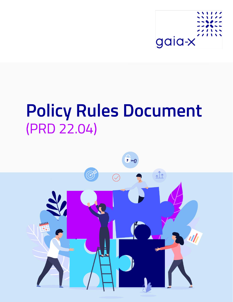

# **Policy Rules Document** (PRD 22.04)

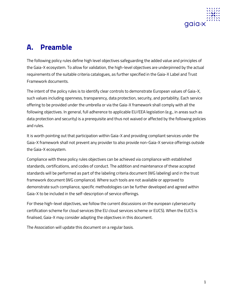

# **A. Preamble**

The following policy rules define high level objectives safeguarding the added value and principles of the Gaia-X ecosystem. To allow for validation, the high-level objectives are underpinned by the actual requirements of the suitable criteria catalogues, as further specified in the Gaia-X Label and Trust Framework documents.

The intent of the policy rules is to identify clear controls to demonstrate European values of Gaia-X, such values including openness, transparency, data protection, security, and portability. Each service offering to be provided under the umbrella or via the Gaia-X framework shall comply with all the following objectives. In general, full adherence to applicable EU/EEA legislation (e.g., in areas such as data protection and security) is a prerequisite and thus not waived or affected by the following policies and rules.

It is worth pointing out that participation within Gaia-X and providing compliant services under the Gaia-X framework shall not prevent any provider to also provide non-Gaia-X service offerings outside the Gaia-X ecosystem.

Compliance with these policy rules objectives can be achieved via compliance with established standards, certifications, and codes of conduct. The addition and maintenance of these accepted standards will be performed as part of the labeling criteria document (WG labeling) and in the trust framework document (WG compliance). Where such tools are not available or approved to demonstrate such compliance, specific methodologies can be further developed and agreed within Gaia-X to be included in the self-description of service offerings.

For these high-level objectives, we follow the current discussions on the european cybersecurity certification scheme for cloud services (the EU cloud services scheme or EUCS). When the EUCS is finalised, Gaia-X may consider adapting the objectives in this document.

The Association will update this document on a regular basis.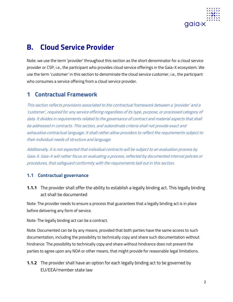

## **B. Cloud Service Provider**

Note: we use the term 'provider' throughout this section as the short denominator for a cloud service provider or CSP, i.e., the participant who provides cloud service offerings in the Gaia-X ecosystem. We use the term 'customer' in this section to denominate the cloud service customer, i.e., the participant who consumes a service offering from a cloud service provider.

## **1 Contractual Framework**

This section reflects provisions associated to the contractual framework between a 'provider' and a 'customer', required for any service offering regardless of its type, purpose, or processed category of data. It divides in requirements related to the governance of contract and material aspects that shall be addressed in contracts. This section, and subordinate criteria shall not provide exact and exhaustive contractual language. It shall rather allow providers to reflect the requirements subject to their individual needs of structure and language.

Additionally, it is not expected that individual contracts will be subject to an evaluation process by Gaia-X. Gaia-X will rather focus on evaluating a process, reflected by documented internal policies or procedures, that safeguard conformity with the requirements laid out in this section.

#### **1.1 Contractual governance**

**1.1.1** The provider shall offer the ability to establish a legally binding act. This legally binding act shall be documented

Note: The provider needs to ensure a process that guarantees that a legally binding act is in place before delivering any form of service.

Note: The legally binding act can be a contract.

Note: Documented can be by any means, provided that both parties have the same access to such documentation, including the possibility to technically copy and share such documentation without hindrance. The possibility to technically copy and share without hindrance does not prevent the parties to agree upon any NDA or other means, that might provide for reasonable legal limitations.

**1.1.2** The provider shall have an option for each legally binding act to be governed by EU/EEA/member state law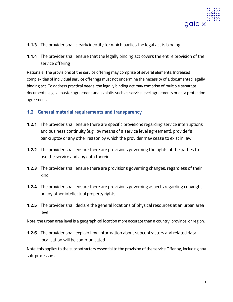

- **1.1.3** The provider shall clearly identify for which parties the legal act is binding
- **1.1.4** The provider shall ensure that the legally binding act covers the entire provision of the service offering

Rationale: The provisions of the service offering may comprise of several elements. Increased complexities of individual service offerings must not undermine the necessity of a documented legally binding act. To address practical needs, the legally binding act may comprise of multiple separate documents, e.g., a master agreement and exhibits such as service level agreements or data protection agreement.

#### **1.2 General material requirements and transparency**

- **1.2.1** The provider shall ensure there are specific provisions regarding service interruptions and business continuity (e.g., by means of a service level agreement), provider's bankruptcy or any other reason by which the provider may cease to exist in law
- **1.2.2** The provider shall ensure there are provisions governing the rights of the parties to use the service and any data therein
- **1.2.3** The provider shall ensure there are provisions governing changes, regardless of their kind
- **1.2.4** The provider shall ensure there are provisions governing aspects regarding copyright or any other intellectual property rights
- **1.2.5** The provider shall declare the general locations of physical resources at an urban area level

Note: the urban area level is a geographical location more accurate than a country, province, or region.

**1.2.6** The provider shall explain how information about subcontractors and related data localisation will be communicated

Note: this applies to the subcontractors essential to the provision of the service Offering, including any sub-processors.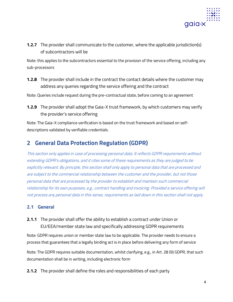

**1.2.7** The provider shall communicate to the customer, where the applicable jurisdiction(s) of subcontractors will be

Note: this applies to the subcontractors essential to the provision of the service offering, including any sub-processors

**1.2.8** The provider shall include in the contract the contact details where the customer may address any queries regarding the service offering and the contract

Note: Queries include request during the pre-contractual state, before coming to an agreement

**1.2.9** The provider shall adopt the Gaia-X trust framework, by which customers may verify the provider's service offering

Note: The Gaia-X compliance verification is based on the trust framework and based on selfdescriptions validated by verifiable credentials.

## **2 General Data Protection Regulation (GDPR)**

This section only applies in case of processing personal data. It reflects GDPR requirements without extending GDPR's obligations, and it cites some of these requirements as they are judged to be explicitly relevant. By principle, this section shall only apply to personal data that are processed and are subject to the commercial relationship between the customer and the provider, but not those personal data that are processed by the provider to establish and maintain such commercial relationship for its own purposes, e.g., contract handling and invoicing. Provided a service offering will not process any personal data in this sense, requirements as laid down in this section shall not apply.

#### **2.1 General**

**2.1.1** The provider shall offer the ability to establish a contract under Union or EU/EEA/member state law and specifically addressing GDPR requirements

Note: GDPR requires union or member state law to be applicable. The provider needs to ensure a process that guarantees that a legally binding act is in place before delivering any form of service

Note: The GDPR requires suitable documentation, whilst clarifying, e.g., in Art. 28 (9) GDPR, that such documentation shall be in writing, including electronic form

**2.1.2** The provider shall define the roles and responsibilities of each party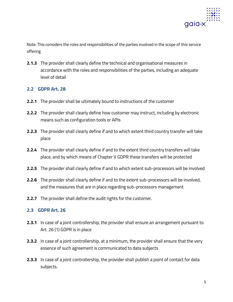

Note: This considers the roles and responsibilities of the parties involved in the scope of this service offering

**2.1.3** The provider shall clearly define the technical and organisational measures in accordance with the roles and responsibilities of the parties, including an adequate level of detail

#### **2.2 GDPR Art. 28**

- **2.2.1** The provider shall be ultimately bound to instructions of the customer
- **2.2.2** The provider shall clearly define how customer may instruct, including by electronic means such as configuration tools or APIs
- **2.2.3** The provider shall clearly define if and to which extent third country transfer will take place
- **2.2.4** The provider shall clearly define if and to the extent third country transfers will take place, and by which means of Chapter V GDPR these transfers will be protected
- **2.2.5** The provider shall clearly define if and to which extent sub-processors will be involved
- **2.2.6** The provider shall clearly define if and to the extent sub-processors will be involved, and the measures that are in place regarding sub-processors management
- **2.2.7** The provider shall define the audit rights for the customer.

#### **2.3 GDPR Art. 26**

- **2.3.1** In case of a joint controllership, the provider shall ensure an arrangement pursuant to Art. 26 (1) GDPR is in place
- **2.3.2** In case of a joint controllership, at a minimum, the provider shall ensure that the very essence of such agreement is communicated to data subjects
- **2.3.3** In case of a joint controllership, the provider shall publish a point of contact for data subjects.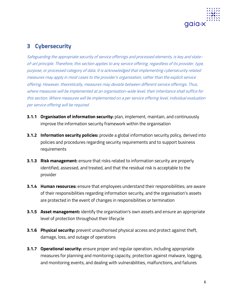

## **3 Cybersecurity**

Safeguarding the appropriate security of service offerings and processed elements, is key and stateof-art principle. Therefore, this section applies to any service offering, regardless of its provider, type, purpose, or processed category of data. It is acknowledged that implementing cybersecurity related measures may apply in most cases to the provider's organisation, rather than the explicit service offering. However, theoretically, measures may deviate between different service offerings. Thus, where measures will be implemented at an organisation-wide level, their inheritance shall suffice for this section. Where measures will be implemented on a per service offering level, individual evaluation per service offering will be required.

- **3.1.1 Organisation of information security:** plan, implement, maintain, and continuously improve the information security framework within the organisation
- **3.1.2 Information security policies:** provide a global information security policy, derived into policies and procedures regarding security requirements and to support business requirements
- **3.1.3 Risk management:** ensure that risks related to information security are properly identified, assessed, and treated, and that the residual risk is acceptable to the provider
- **3.1.4 Human resources:** ensure that employees understand their responsibilities; are aware of their responsibilities regarding information security, and the organisation's assets are protected in the event of changes in responsibilities or termination
- **3.1.5 Asset management:** identify the organisation's own assets and ensure an appropriate level of protection throughout their lifecycle
- **3.1.6 Physical security:** prevent unauthorised physical access and protect against theft, damage, loss, and outage of operations
- **3.1.7 Operational security:** ensure proper and regular operation, including appropriate measures for planning and monitoring capacity, protection against malware, logging, and monitoring events, and dealing with vulnerabilities, malfunctions, and failures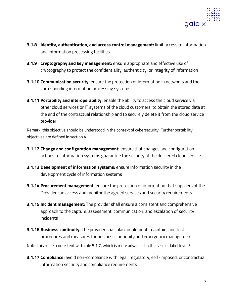

- **3.1.8 Identity, authentication, and access control management:** limit access to information and information processing facilities
- **3.1.9 Cryptography and key management:** ensure appropriate and effective use of cryptography to protect the confidentiality, authenticity, or integrity of information
- **3.1.10 Communication security:** ensure the protection of information in networks and the corresponding information processing systems
- **3.1.11 Portability and interoperability:** enable the ability to access the cloud service via other cloud services or IT systems of the cloud customers, to obtain the stored data at the end of the contractual relationship and to securely delete it from the cloud service provider.

Remark: this objective should be understood in the context of cybersecurity. Further portability objectives are defined in section 4

- **3.1.12 Change and configuration management:** ensure that changes and configuration actions to information systems guarantee the security of the delivered cloud service
- **3.1.13 Development of information systems:** ensure information security in the development cycle of information systems
- **3.1.14 Procurement management:** ensure the protection of information that suppliers of the Provider can access and monitor the agreed services and security requirements
- **3.1.15 Incident management:** The provider shall ensure a consistent and comprehensive approach to the capture, assessment, communication, and escalation of security incidents
- **3.1.16 Business continuity:** The provider shall plan, implement, maintain, and test procedures and measures for business continuity and emergency management

Note: this rule is consistent with rule 5.1.7, which is more advanced in the case of label level 3

**3.1.17 Compliance:** avoid non-compliance with legal, regulatory, self-imposed, or contractual information security and compliance requirements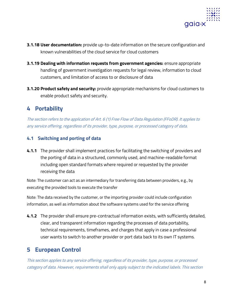

- **3.1.18 User documentation:** provide up-to-date information on the secure configuration and known vulnerabilities of the cloud service for cloud customers
- **3.1.19 Dealing with information requests from government agencies:** ensure appropriate handling of government investigation requests for legal review, information to cloud customers, and limitation of access to or disclosure of data
- **3.1.20 Product safety and security:** provide appropriate mechanisms for cloud customers to enable product safety and security.

## **4 Portability**

The section refers to the application of Art. 6 (1) Free Flow of Data Regulation (FFoDR). It applies to any service offering, regardless of its provider, type, purpose, or processed category of data.

#### **4.1 Switching and porting of data**

**4.1.1** The provider shall implement practices for facilitating the switching of providers and the porting of data in a structured, commonly used, and machine-readable format including open standard formats where required or requested by the provider receiving the data

Note: The customer can act as an intermediary for transferring data between providers, e.g., by executing the provided tools to execute the transfer

Note: The data received by the customer, or the importing provider could include configuration information, as well as information about the software systems used for the service offering

**4.1.2** The provider shall ensure pre-contractual information exists, with sufficiently detailed, clear, and transparent information regarding the processes of data portability, technical requirements, timeframes, and charges that apply in case a professional user wants to switch to another provider or port data back to its own IT systems.

## **5 European Control**

This section applies to any service offering, regardless of its provider, type, purpose, or processed category of data. However, requirements shall only apply subject to the indicated labels. This section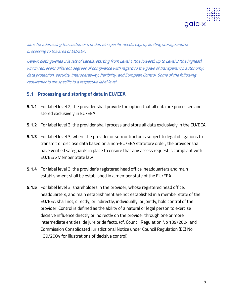

aims for addressing the customer's or domain specific needs, e.g., by limiting storage and/or processing to the area of EU/EEA.

Gaia-X distinguishes 3 levels of Labels, starting from Level 1 (the lowest), up to Level 3 (the highest), which represent different degrees of compliance with regard to the goals of transparency, autonomy, data protection, security, interoperability, flexibility, and European Control. Some of the following requirements are specific to a respective label level.

#### **5.1 Processing and storing of data in EU/EEA**

- **5.1.1** For label level 2, the provider shall provide the option that all data are processed and stored exclusively in EU/EEA
- **5.1.2** For label level 3, the provider shall process and store all data exclusively in the EU/EEA
- **5.1.3** For label level 3, where the provider or subcontractor is subject to legal obligations to transmit or disclose data based on a non-EU/EEA statutory order, the provider shall have verified safeguards in place to ensure that any access request is compliant with EU/EEA/Member State law
- **5.1.4** For label level 3, the provider's registered head office, headquarters and main establishment shall be established in a member state of the EU/EEA
- **5.1.5** For label level 3, shareholders in the provider, whose registered head office, headquarters, and main establishment are not established in a member state of the EU/EEA shall not, directly, or indirectly, individually, or jointly, hold control of the provider. Control is defined as the ability of a natural or legal person to exercise decisive influence directly or indirectly on the provider through one or more intermediate entities, de jure or de facto. (cf. Council Regulation No 139/2004 and Commission Consolidated Jurisdictional Notice under Council Regulation (EC) No 139/2004 for illustrations of decisive control)